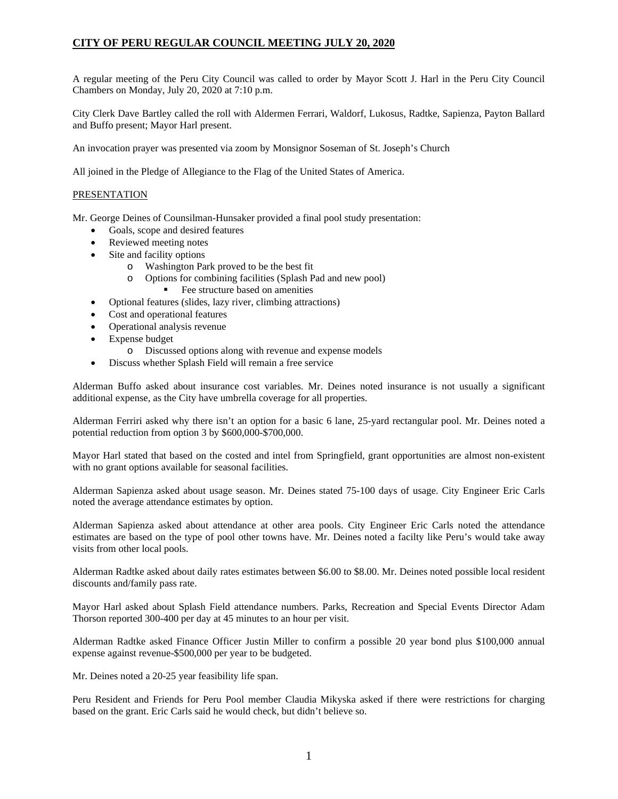A regular meeting of the Peru City Council was called to order by Mayor Scott J. Harl in the Peru City Council Chambers on Monday, July 20, 2020 at 7:10 p.m.

City Clerk Dave Bartley called the roll with Aldermen Ferrari, Waldorf, Lukosus, Radtke, Sapienza, Payton Ballard and Buffo present; Mayor Harl present.

An invocation prayer was presented via zoom by Monsignor Soseman of St. Joseph's Church

All joined in the Pledge of Allegiance to the Flag of the United States of America.

## **PRESENTATION**

Mr. George Deines of Counsilman-Hunsaker provided a final pool study presentation:

- Goals, scope and desired features
- Reviewed meeting notes
- Site and facility options
	- o Washington Park proved to be the best fit
	- o Options for combining facilities (Splash Pad and new pool) Fee structure based on amenities
- Optional features (slides, lazy river, climbing attractions)
- Cost and operational features
- Operational analysis revenue
- Expense budget
	- o Discussed options along with revenue and expense models
- Discuss whether Splash Field will remain a free service

Alderman Buffo asked about insurance cost variables. Mr. Deines noted insurance is not usually a significant additional expense, as the City have umbrella coverage for all properties.

Alderman Ferriri asked why there isn't an option for a basic 6 lane, 25-yard rectangular pool. Mr. Deines noted a potential reduction from option 3 by \$600,000-\$700,000.

Mayor Harl stated that based on the costed and intel from Springfield, grant opportunities are almost non-existent with no grant options available for seasonal facilities.

Alderman Sapienza asked about usage season. Mr. Deines stated 75-100 days of usage. City Engineer Eric Carls noted the average attendance estimates by option.

Alderman Sapienza asked about attendance at other area pools. City Engineer Eric Carls noted the attendance estimates are based on the type of pool other towns have. Mr. Deines noted a facilty like Peru's would take away visits from other local pools.

Alderman Radtke asked about daily rates estimates between \$6.00 to \$8.00. Mr. Deines noted possible local resident discounts and/family pass rate.

Mayor Harl asked about Splash Field attendance numbers. Parks, Recreation and Special Events Director Adam Thorson reported 300-400 per day at 45 minutes to an hour per visit.

Alderman Radtke asked Finance Officer Justin Miller to confirm a possible 20 year bond plus \$100,000 annual expense against revenue-\$500,000 per year to be budgeted.

Mr. Deines noted a 20-25 year feasibility life span.

Peru Resident and Friends for Peru Pool member Claudia Mikyska asked if there were restrictions for charging based on the grant. Eric Carls said he would check, but didn't believe so.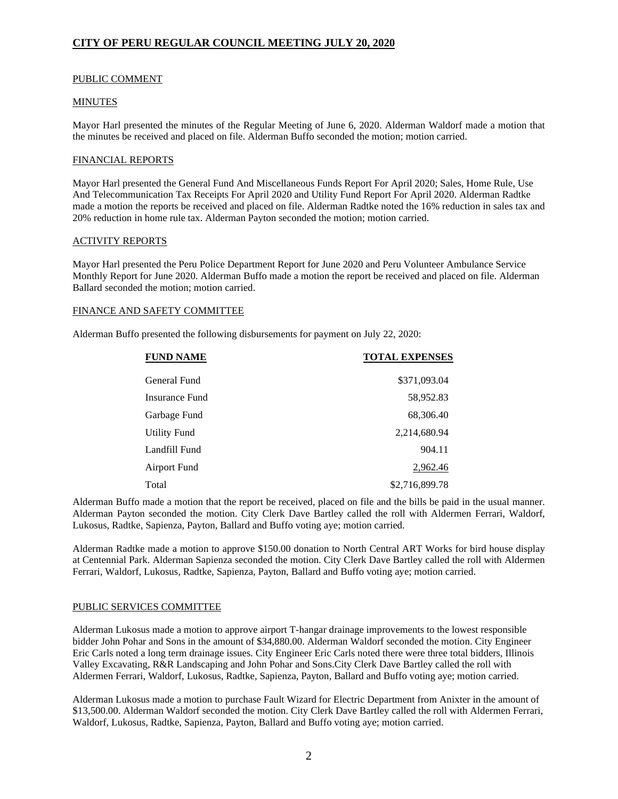## PUBLIC COMMENT

## MINUTES

Mayor Harl presented the minutes of the Regular Meeting of June 6, 2020. Alderman Waldorf made a motion that the minutes be received and placed on file. Alderman Buffo seconded the motion; motion carried.

## FINANCIAL REPORTS

Mayor Harl presented the General Fund And Miscellaneous Funds Report For April 2020; Sales, Home Rule, Use And Telecommunication Tax Receipts For April 2020 and Utility Fund Report For April 2020. Alderman Radtke made a motion the reports be received and placed on file. Alderman Radtke noted the 16% reduction in sales tax and 20% reduction in home rule tax. Alderman Payton seconded the motion; motion carried.

## ACTIVITY REPORTS

Mayor Harl presented the Peru Police Department Report for June 2020 and Peru Volunteer Ambulance Service Monthly Report for June 2020. Alderman Buffo made a motion the report be received and placed on file. Alderman Ballard seconded the motion; motion carried.

# FINANCE AND SAFETY COMMITTEE

Alderman Buffo presented the following disbursements for payment on July 22, 2020:

| <b>FUND NAME</b>    | <b>TOTAL EXPENSES</b> |
|---------------------|-----------------------|
| General Fund        | \$371,093.04          |
| Insurance Fund      | 58,952.83             |
| Garbage Fund        | 68,306.40             |
| <b>Utility Fund</b> | 2,214,680.94          |
| Landfill Fund       | 904.11                |
| Airport Fund        | 2,962.46              |
| Total               | \$2,716,899.78        |

Alderman Buffo made a motion that the report be received, placed on file and the bills be paid in the usual manner. Alderman Payton seconded the motion. City Clerk Dave Bartley called the roll with Aldermen Ferrari, Waldorf, Lukosus, Radtke, Sapienza, Payton, Ballard and Buffo voting aye; motion carried.

Alderman Radtke made a motion to approve \$150.00 donation to North Central ART Works for bird house display at Centennial Park. Alderman Sapienza seconded the motion. City Clerk Dave Bartley called the roll with Aldermen Ferrari, Waldorf, Lukosus, Radtke, Sapienza, Payton, Ballard and Buffo voting aye; motion carried.

### PUBLIC SERVICES COMMITTEE

Alderman Lukosus made a motion to approve airport T-hangar drainage improvements to the lowest responsible bidder John Pohar and Sons in the amount of \$34,880.00. Alderman Waldorf seconded the motion. City Engineer Eric Carls noted a long term drainage issues. City Engineer Eric Carls noted there were three total bidders, Illinois Valley Excavating, R&R Landscaping and John Pohar and Sons.City Clerk Dave Bartley called the roll with Aldermen Ferrari, Waldorf, Lukosus, Radtke, Sapienza, Payton, Ballard and Buffo voting aye; motion carried.

Alderman Lukosus made a motion to purchase Fault Wizard for Electric Department from Anixter in the amount of \$13,500.00. Alderman Waldorf seconded the motion. City Clerk Dave Bartley called the roll with Aldermen Ferrari, Waldorf, Lukosus, Radtke, Sapienza, Payton, Ballard and Buffo voting aye; motion carried.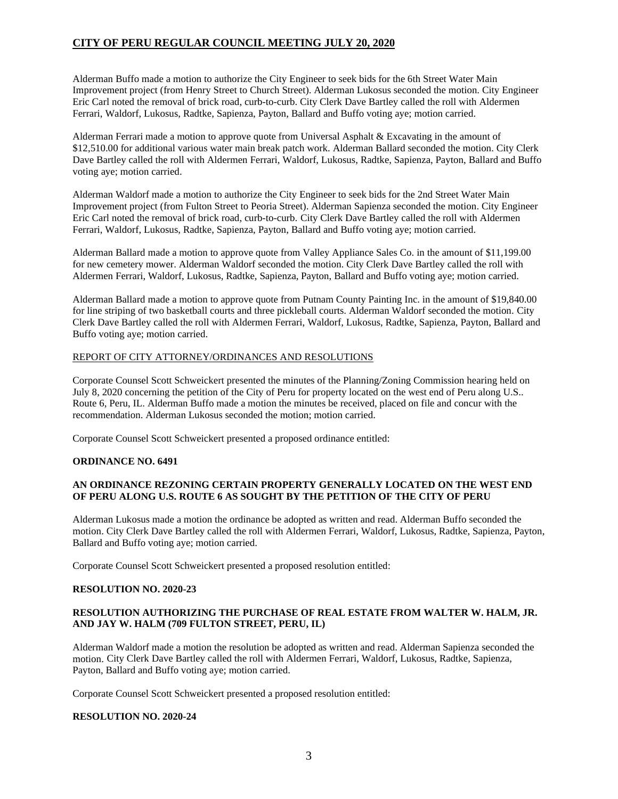Alderman Buffo made a motion to authorize the City Engineer to seek bids for the 6th Street Water Main Improvement project (from Henry Street to Church Street). Alderman Lukosus seconded the motion. City Engineer Eric Carl noted the removal of brick road, curb-to-curb. City Clerk Dave Bartley called the roll with Aldermen Ferrari, Waldorf, Lukosus, Radtke, Sapienza, Payton, Ballard and Buffo voting aye; motion carried.

Alderman Ferrari made a motion to approve quote from Universal Asphalt & Excavating in the amount of \$12,510.00 for additional various water main break patch work. Alderman Ballard seconded the motion. City Clerk Dave Bartley called the roll with Aldermen Ferrari, Waldorf, Lukosus, Radtke, Sapienza, Payton, Ballard and Buffo voting aye; motion carried.

Alderman Waldorf made a motion to authorize the City Engineer to seek bids for the 2nd Street Water Main Improvement project (from Fulton Street to Peoria Street). Alderman Sapienza seconded the motion. City Engineer Eric Carl noted the removal of brick road, curb-to-curb. City Clerk Dave Bartley called the roll with Aldermen Ferrari, Waldorf, Lukosus, Radtke, Sapienza, Payton, Ballard and Buffo voting aye; motion carried.

Alderman Ballard made a motion to approve quote from Valley Appliance Sales Co. in the amount of \$11,199.00 for new cemetery mower. Alderman Waldorf seconded the motion. City Clerk Dave Bartley called the roll with Aldermen Ferrari, Waldorf, Lukosus, Radtke, Sapienza, Payton, Ballard and Buffo voting aye; motion carried.

Alderman Ballard made a motion to approve quote from Putnam County Painting Inc. in the amount of \$19,840.00 for line striping of two basketball courts and three pickleball courts. Alderman Waldorf seconded the motion. City Clerk Dave Bartley called the roll with Aldermen Ferrari, Waldorf, Lukosus, Radtke, Sapienza, Payton, Ballard and Buffo voting aye; motion carried.

## REPORT OF CITY ATTORNEY/ORDINANCES AND RESOLUTIONS

Corporate Counsel Scott Schweickert presented the minutes of the Planning/Zoning Commission hearing held on July 8, 2020 concerning the petition of the City of Peru for property located on the west end of Peru along U.S.. Route 6, Peru, IL. Alderman Buffo made a motion the minutes be received, placed on file and concur with the recommendation. Alderman Lukosus seconded the motion; motion carried.

Corporate Counsel Scott Schweickert presented a proposed ordinance entitled:

# **ORDINANCE NO. 6491**

# **AN ORDINANCE REZONING CERTAIN PROPERTY GENERALLY LOCATED ON THE WEST END OF PERU ALONG U.S. ROUTE 6 AS SOUGHT BY THE PETITION OF THE CITY OF PERU**

Alderman Lukosus made a motion the ordinance be adopted as written and read. Alderman Buffo seconded the motion. City Clerk Dave Bartley called the roll with Aldermen Ferrari, Waldorf, Lukosus, Radtke, Sapienza, Payton, Ballard and Buffo voting aye; motion carried.

Corporate Counsel Scott Schweickert presented a proposed resolution entitled:

### **RESOLUTION NO. 2020-23**

# **RESOLUTION AUTHORIZING THE PURCHASE OF REAL ESTATE FROM WALTER W. HALM, JR. AND JAY W. HALM (709 FULTON STREET, PERU, IL)**

Alderman Waldorf made a motion the resolution be adopted as written and read. Alderman Sapienza seconded the motion. City Clerk Dave Bartley called the roll with Aldermen Ferrari, Waldorf, Lukosus, Radtke, Sapienza, Payton, Ballard and Buffo voting aye; motion carried.

Corporate Counsel Scott Schweickert presented a proposed resolution entitled:

### **RESOLUTION NO. 2020-24**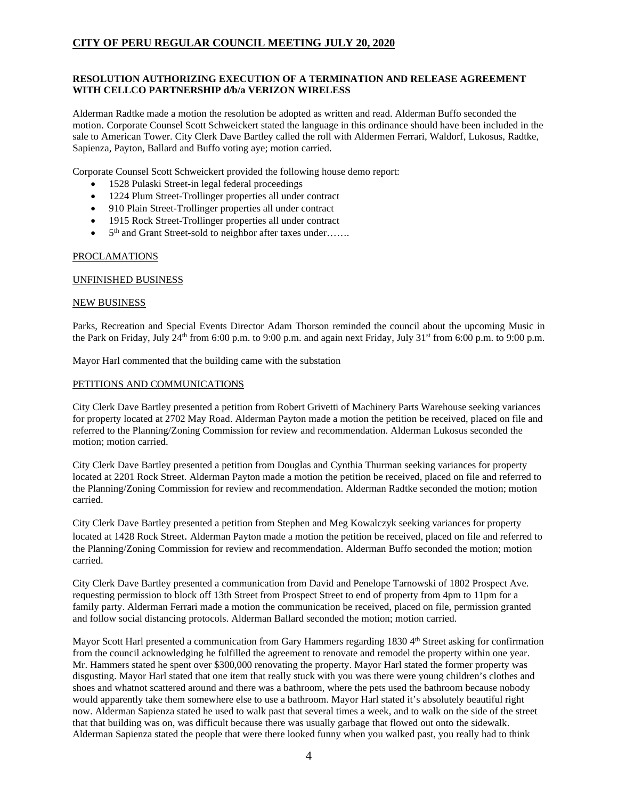# **RESOLUTION AUTHORIZING EXECUTION OF A TERMINATION AND RELEASE AGREEMENT WITH CELLCO PARTNERSHIP d/b/a VERIZON WIRELESS**

Alderman Radtke made a motion the resolution be adopted as written and read. Alderman Buffo seconded the motion. Corporate Counsel Scott Schweickert stated the language in this ordinance should have been included in the sale to American Tower. City Clerk Dave Bartley called the roll with Aldermen Ferrari, Waldorf, Lukosus, Radtke, Sapienza, Payton, Ballard and Buffo voting aye; motion carried.

Corporate Counsel Scott Schweickert provided the following house demo report:

- 1528 Pulaski Street-in legal federal proceedings
- 1224 Plum Street-Trollinger properties all under contract
- 910 Plain Street-Trollinger properties all under contract
- 1915 Rock Street-Trollinger properties all under contract
- 5<sup>th</sup> and Grant Street-sold to neighbor after taxes under…….

### PROCLAMATIONS

### UNFINISHED BUSINESS

### NEW BUSINESS

Parks, Recreation and Special Events Director Adam Thorson reminded the council about the upcoming Music in the Park on Friday, July 24<sup>th</sup> from 6:00 p.m. to 9:00 p.m. and again next Friday, July 31<sup>st</sup> from 6:00 p.m. to 9:00 p.m.

Mayor Harl commented that the building came with the substation

### PETITIONS AND COMMUNICATIONS

City Clerk Dave Bartley presented a petition from Robert Grivetti of Machinery Parts Warehouse seeking variances for property located at 2702 May Road. Alderman Payton made a motion the petition be received, placed on file and referred to the Planning/Zoning Commission for review and recommendation. Alderman Lukosus seconded the motion; motion carried.

City Clerk Dave Bartley presented a petition from Douglas and Cynthia Thurman seeking variances for property located at 2201 Rock Street. Alderman Payton made a motion the petition be received, placed on file and referred to the Planning/Zoning Commission for review and recommendation. Alderman Radtke seconded the motion; motion carried.

City Clerk Dave Bartley presented a petition from Stephen and Meg Kowalczyk seeking variances for property located at 1428 Rock Street. Alderman Payton made a motion the petition be received, placed on file and referred to the Planning/Zoning Commission for review and recommendation. Alderman Buffo seconded the motion; motion carried.

City Clerk Dave Bartley presented a communication from David and Penelope Tarnowski of 1802 Prospect Ave. requesting permission to block off 13th Street from Prospect Street to end of property from 4pm to 11pm for a family party. Alderman Ferrari made a motion the communication be received, placed on file, permission granted and follow social distancing protocols. Alderman Ballard seconded the motion; motion carried.

Mayor Scott Harl presented a communication from Gary Hammers regarding 1830 4<sup>th</sup> Street asking for confirmation from the council acknowledging he fulfilled the agreement to renovate and remodel the property within one year. Mr. Hammers stated he spent over \$300,000 renovating the property. Mayor Harl stated the former property was disgusting. Mayor Harl stated that one item that really stuck with you was there were young children's clothes and shoes and whatnot scattered around and there was a bathroom, where the pets used the bathroom because nobody would apparently take them somewhere else to use a bathroom. Mayor Harl stated it's absolutely beautiful right now. Alderman Sapienza stated he used to walk past that several times a week, and to walk on the side of the street that that building was on, was difficult because there was usually garbage that flowed out onto the sidewalk. Alderman Sapienza stated the people that were there looked funny when you walked past, you really had to think